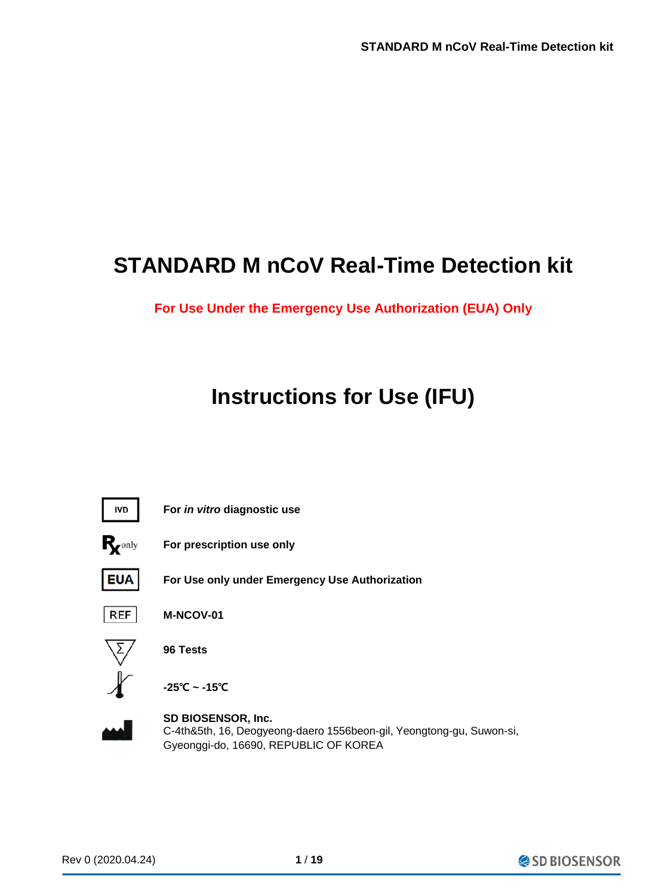## **STANDARD M nCoV Real-Time Detection kit**

**For Use Under the Emergency Use Authorization (EUA) Only**

# **Instructions for Use (IFU)**



**For** *in vitro* **diagnostic use For prescription use only**



**For Use only under Emergency Use Authorization**



**M-NCOV-01**



**96 Tests**

**-25℃ ~ -15℃**



**SD BIOSENSOR, Inc.** C-4th&5th, 16, Deogyeong-daero 1556beon-gil, Yeongtong-gu, Suwon-si, Gyeonggi-do, 16690, REPUBLIC OF KOREA

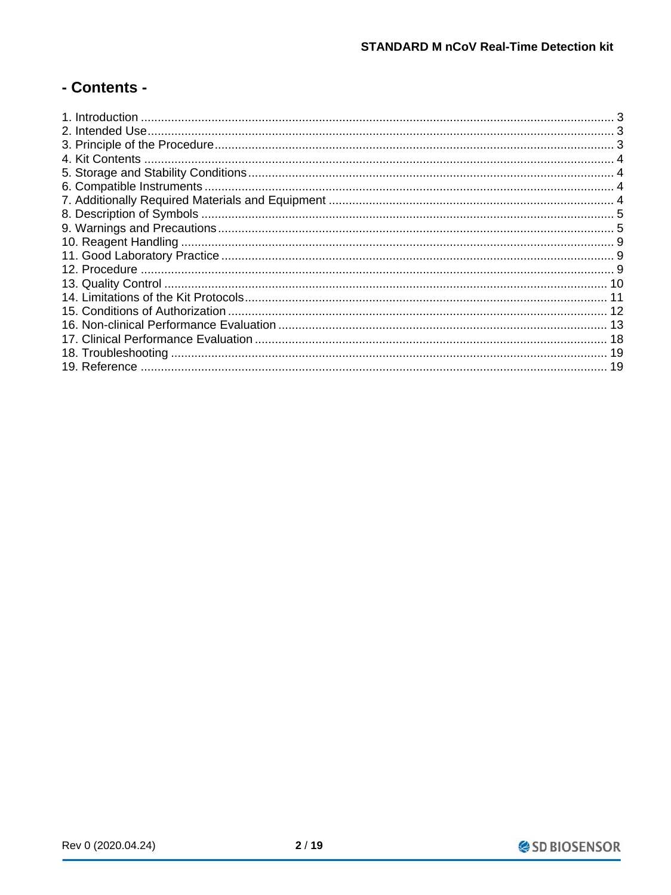## - Contents -

| 19 |
|----|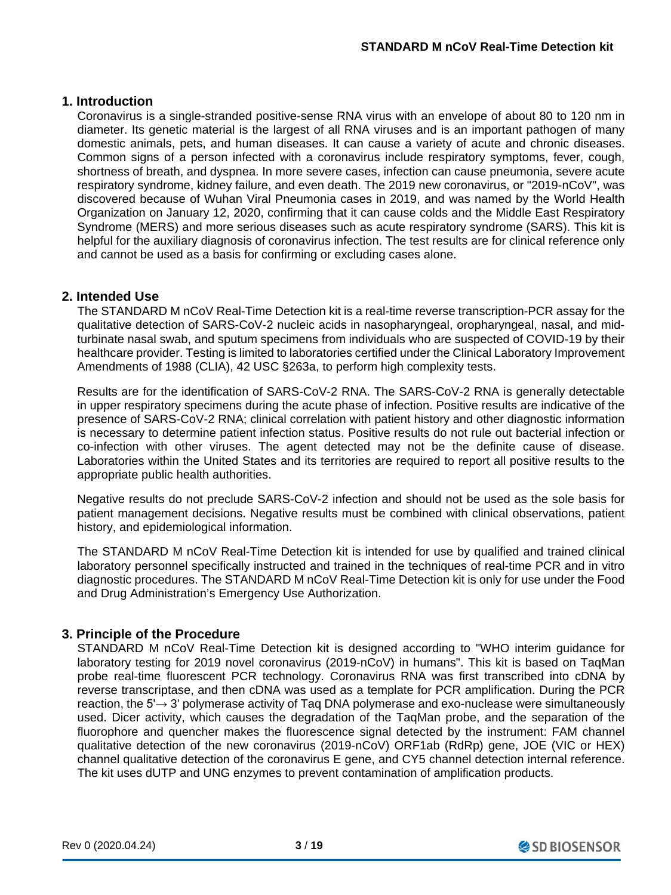## **1. Introduction**

Coronavirus is a single-stranded positive-sense RNA virus with an envelope of about 80 to 120 nm in diameter. Its genetic material is the largest of all RNA viruses and is an important pathogen of many domestic animals, pets, and human diseases. It can cause a variety of acute and chronic diseases. Common signs of a person infected with a coronavirus include respiratory symptoms, fever, cough, shortness of breath, and dyspnea. In more severe cases, infection can cause pneumonia, severe acute respiratory syndrome, kidney failure, and even death. The 2019 new coronavirus, or "2019-nCoV", was discovered because of Wuhan Viral Pneumonia cases in 2019, and was named by the World Health Organization on January 12, 2020, confirming that it can cause colds and the Middle East Respiratory Syndrome (MERS) and more serious diseases such as acute respiratory syndrome (SARS). This kit is helpful for the auxiliary diagnosis of coronavirus infection. The test results are for clinical reference only and cannot be used as a basis for confirming or excluding cases alone.

## **2. Intended Use**

The STANDARD M nCoV Real-Time Detection kit is a real-time reverse transcription-PCR assay for the qualitative detection of SARS-CoV-2 nucleic acids in nasopharyngeal, oropharyngeal, nasal, and midturbinate nasal swab, and sputum specimens from individuals who are suspected of COVID-19 by their healthcare provider. Testing is limited to laboratories certified under the Clinical Laboratory Improvement Amendments of 1988 (CLIA), 42 USC §263a, to perform high complexity tests.

Results are for the identification of SARS-CoV-2 RNA. The SARS-CoV-2 RNA is generally detectable in upper respiratory specimens during the acute phase of infection. Positive results are indicative of the presence of SARS-CoV-2 RNA; clinical correlation with patient history and other diagnostic information is necessary to determine patient infection status. Positive results do not rule out bacterial infection or co-infection with other viruses. The agent detected may not be the definite cause of disease. Laboratories within the United States and its territories are required to report all positive results to the appropriate public health authorities.

Negative results do not preclude SARS-CoV-2 infection and should not be used as the sole basis for patient management decisions. Negative results must be combined with clinical observations, patient history, and epidemiological information.

The STANDARD M nCoV Real-Time Detection kit is intended for use by qualified and trained clinical laboratory personnel specifically instructed and trained in the techniques of real-time PCR and in vitro diagnostic procedures. The STANDARD M nCoV Real-Time Detection kit is only for use under the Food and Drug Administration's Emergency Use Authorization.

## **3. Principle of the Procedure**

STANDARD M nCoV Real-Time Detection kit is designed according to "WHO interim guidance for laboratory testing for 2019 novel coronavirus (2019-nCoV) in humans". This kit is based on TaqMan probe real-time fluorescent PCR technology. Coronavirus RNA was first transcribed into cDNA by reverse transcriptase, and then cDNA was used as a template for PCR amplification. During the PCR reaction, the 5'→ 3' polymerase activity of Taq DNA polymerase and exo-nuclease were simultaneously used. Dicer activity, which causes the degradation of the TaqMan probe, and the separation of the fluorophore and quencher makes the fluorescence signal detected by the instrument: FAM channel qualitative detection of the new coronavirus (2019-nCoV) ORF1ab (RdRp) gene, JOE (VIC or HEX) channel qualitative detection of the coronavirus E gene, and CY5 channel detection internal reference. The kit uses dUTP and UNG enzymes to prevent contamination of amplification products.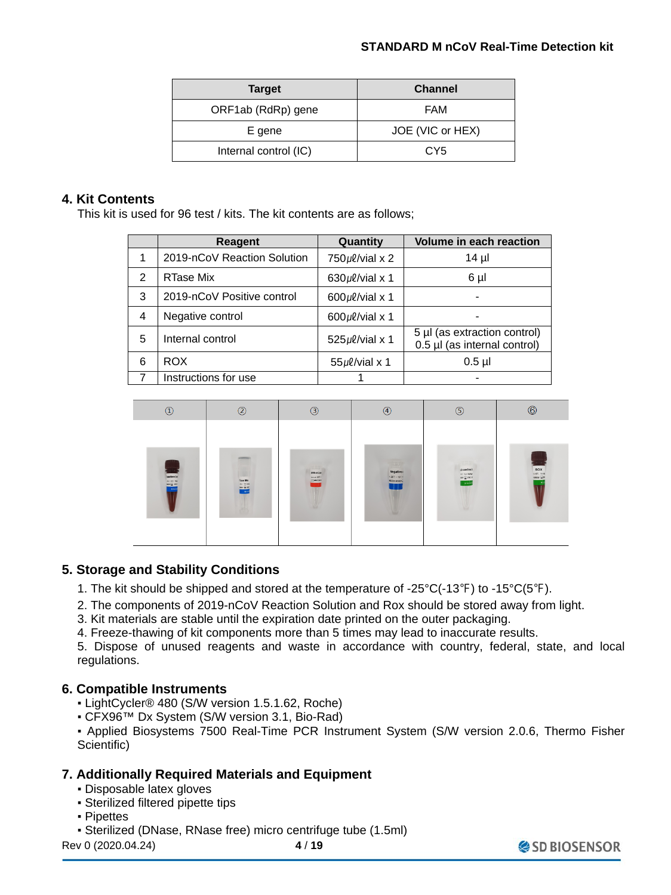| <b>Target</b>         | <b>Channel</b>   |
|-----------------------|------------------|
| ORF1ab (RdRp) gene    | FAM              |
| E gene                | JOE (VIC or HEX) |
| Internal control (IC) | CY <sub>5</sub>  |

## **4. Kit Contents**

This kit is used for 96 test / kits. The kit contents are as follows;

|   | Reagent                     | Quantity             | <b>Volume in each reaction</b>                               |
|---|-----------------------------|----------------------|--------------------------------------------------------------|
| 1 | 2019-nCoV Reaction Solution | $750 \mu$ l/vial x 2 | $14 \mu$                                                     |
| 2 | RTase Mix                   | $630 \mu$ l/vial x 1 | 6 µl                                                         |
| 3 | 2019-nCoV Positive control  | $600 \mu$ l/vial x 1 |                                                              |
| 4 | Negative control            | $600 \mu$ l/vial x 1 |                                                              |
| 5 | Internal control            | $525 \mu$ l/vial x 1 | 5 µl (as extraction control)<br>0.5 µl (as internal control) |
| 6 | <b>ROX</b>                  | $55 \mu$ l/vial x 1  | $0.5$ µl                                                     |
|   | Instructions for use        |                      |                                                              |



## **5. Storage and Stability Conditions**

- 1. The kit should be shipped and stored at the temperature of -25°C(-13℉) to -15°C(5℉).
- 2. The components of 2019-nCoV Reaction Solution and Rox should be stored away from light.
- 3. Kit materials are stable until the expiration date printed on the outer packaging.
- 4. Freeze-thawing of kit components more than 5 times may lead to inaccurate results.

5. Dispose of unused reagents and waste in accordance with country, federal, state, and local regulations.

## **6. Compatible Instruments**

- LightCycler<sup>®</sup> 480 (S/W version 1.5.1.62, Roche)
- CFX96™ Dx System (S/W version 3.1, Bio-Rad)

▪ Applied Biosystems 7500 Real-Time PCR Instrument System (S/W version 2.0.6, Thermo Fisher Scientific)

## **7. Additionally Required Materials and Equipment**

- Disposable latex gloves
- Sterilized filtered pipette tips
- Pipettes
- Sterilized (DNase, RNase free) micro centrifuge tube (1.5ml)

Rev 0 (2020.04.24) **4** / **19**

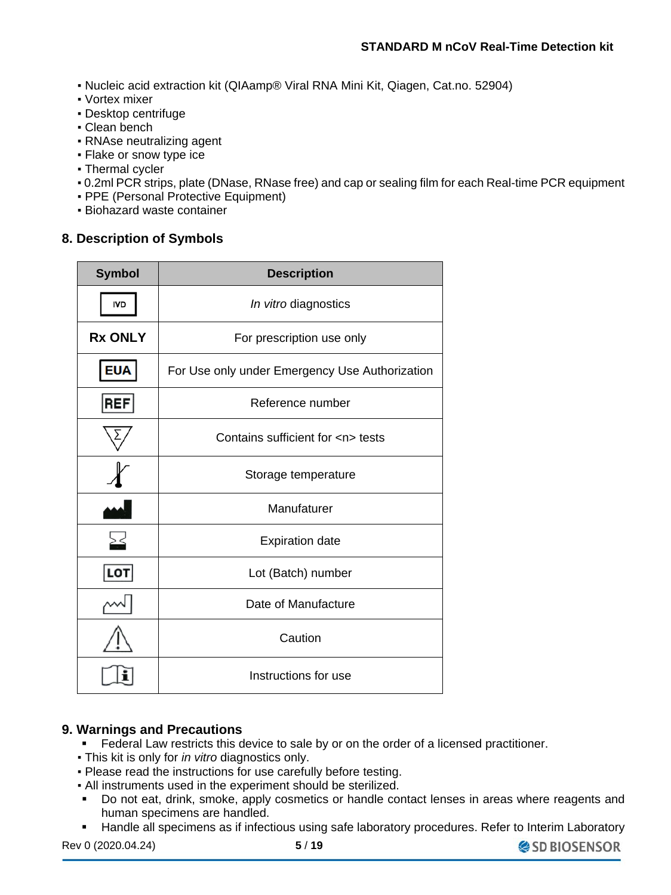- Nucleic acid extraction kit (QIAamp® Viral RNA Mini Kit, Qiagen, Cat.no. 52904)
- Vortex mixer
- Desktop centrifuge
- Clean bench
- RNAse neutralizing agent
- Flake or snow type ice
- Thermal cycler
- 0.2ml PCR strips, plate (DNase, RNase free) and cap or sealing film for each Real-time PCR equipment
- PPE (Personal Protective Equipment)
- Biohazard waste container

## **8. Description of Symbols**

| <b>Symbol</b>  | <b>Description</b>                             |
|----------------|------------------------------------------------|
| <b>IVD</b>     | In vitro diagnostics                           |
| <b>Rx ONLY</b> | For prescription use only                      |
| <b>EUA</b>     | For Use only under Emergency Use Authorization |
| <b>REF</b>     | Reference number                               |
|                | Contains sufficient for <n> tests</n>          |
|                | Storage temperature                            |
|                | Manufaturer                                    |
| $>$ <          | <b>Expiration date</b>                         |
| LOT            | Lot (Batch) number                             |
|                | Date of Manufacture                            |
|                | Caution                                        |
|                | Instructions for use                           |

### **9. Warnings and Precautions**

- Federal Law restricts this device to sale by or on the order of a licensed practitioner.
- This kit is only for *in vitro* diagnostics only.
- Please read the instructions for use carefully before testing.
- All instruments used in the experiment should be sterilized.
- Do not eat, drink, smoke, apply cosmetics or handle contact lenses in areas where reagents and human specimens are handled.
- **Handle all specimens as if infectious using safe laboratory procedures. Refer to Interim Laboratory**

Rev 0 (2020.04.24) **5** / **19**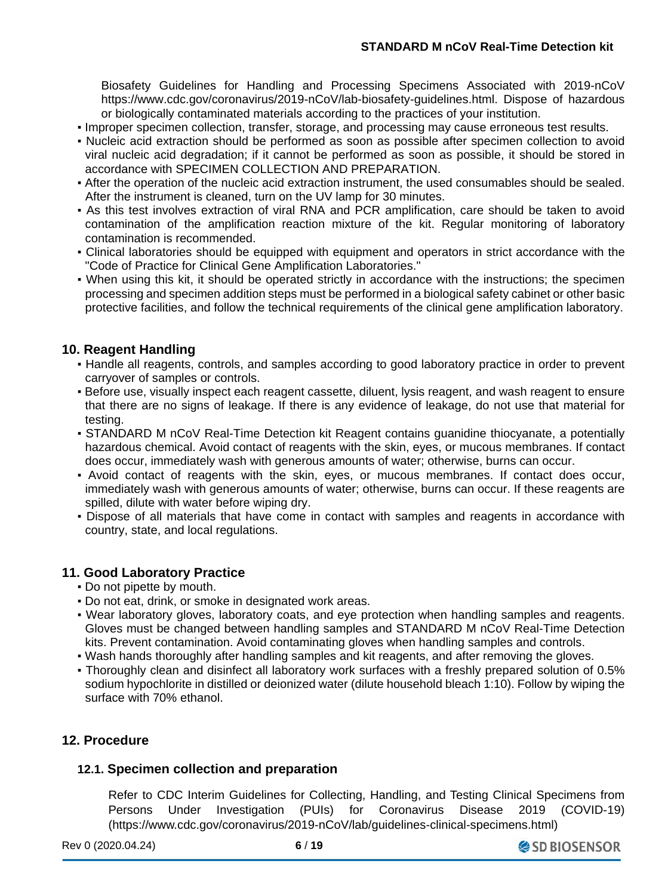Biosafety Guidelines for Handling and Processing Specimens Associated with 2019-nCoV https://www.cdc.gov/coronavirus/2019-nCoV/lab-biosafety-guidelines.html. Dispose of hazardous or biologically contaminated materials according to the practices of your institution.

- Improper specimen collection, transfer, storage, and processing may cause erroneous test results.
- Nucleic acid extraction should be performed as soon as possible after specimen collection to avoid viral nucleic acid degradation; if it cannot be performed as soon as possible, it should be stored in accordance with SPECIMEN COLLECTION AND PREPARATION.
- After the operation of the nucleic acid extraction instrument, the used consumables should be sealed. After the instrument is cleaned, turn on the UV lamp for 30 minutes.
- As this test involves extraction of viral RNA and PCR amplification, care should be taken to avoid contamination of the amplification reaction mixture of the kit. Regular monitoring of laboratory contamination is recommended.
- Clinical laboratories should be equipped with equipment and operators in strict accordance with the "Code of Practice for Clinical Gene Amplification Laboratories."
- When using this kit, it should be operated strictly in accordance with the instructions; the specimen processing and specimen addition steps must be performed in a biological safety cabinet or other basic protective facilities, and follow the technical requirements of the clinical gene amplification laboratory.

## **10. Reagent Handling**

- Handle all reagents, controls, and samples according to good laboratory practice in order to prevent carryover of samples or controls.
- **Before use, visually inspect each reagent cassette, diluent, lysis reagent, and wash reagent to ensure** that there are no signs of leakage. If there is any evidence of leakage, do not use that material for testing.
- STANDARD M nCoV Real-Time Detection kit Reagent contains guanidine thiocyanate, a potentially hazardous chemical. Avoid contact of reagents with the skin, eyes, or mucous membranes. If contact does occur, immediately wash with generous amounts of water; otherwise, burns can occur.
- Avoid contact of reagents with the skin, eyes, or mucous membranes. If contact does occur, immediately wash with generous amounts of water; otherwise, burns can occur. If these reagents are spilled, dilute with water before wiping dry.
- Dispose of all materials that have come in contact with samples and reagents in accordance with country, state, and local regulations.

### **11. Good Laboratory Practice**

- Do not pipette by mouth.
- Do not eat, drink, or smoke in designated work areas.
- Wear laboratory gloves, laboratory coats, and eye protection when handling samples and reagents. Gloves must be changed between handling samples and STANDARD M nCoV Real-Time Detection kits. Prevent contamination. Avoid contaminating gloves when handling samples and controls.
- Wash hands thoroughly after handling samples and kit reagents, and after removing the gloves.
- Thoroughly clean and disinfect all laboratory work surfaces with a freshly prepared solution of 0.5% sodium hypochlorite in distilled or deionized water (dilute household bleach 1:10). Follow by wiping the surface with 70% ethanol.

### **12. Procedure**

### **12.1. Specimen collection and preparation**

Refer to CDC Interim Guidelines for Collecting, Handling, and Testing Clinical Specimens from Persons Under Investigation (PUIs) for Coronavirus Disease 2019 (COVID-19) (https://www.cdc.gov/coronavirus/2019-nCoV/lab/guidelines-clinical-specimens.html)

Rev 0 (2020.04.24) **6** / **19**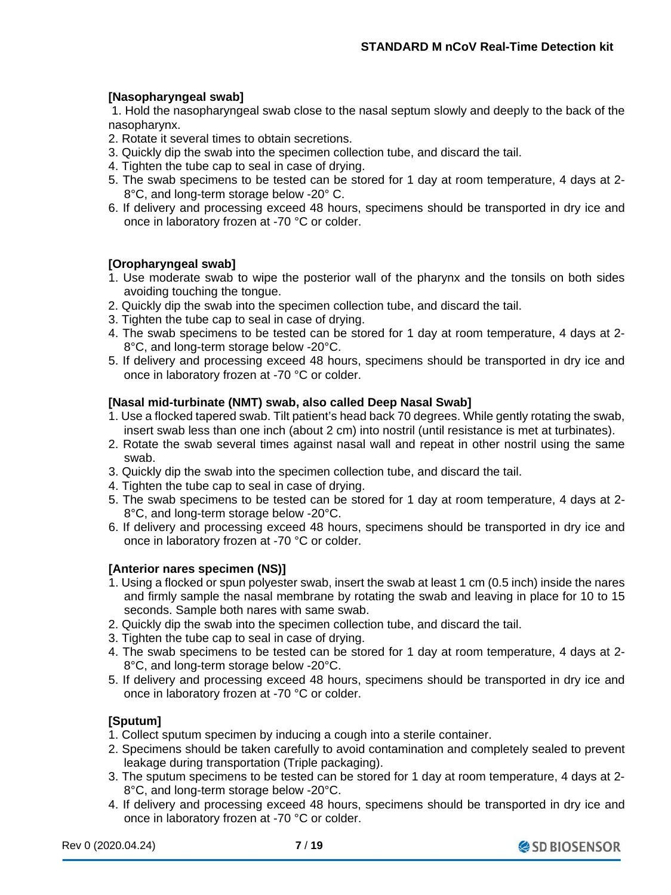## **[Nasopharyngeal swab]**

1. Hold the nasopharyngeal swab close to the nasal septum slowly and deeply to the back of the nasopharynx.

- 2. Rotate it several times to obtain secretions.
- 3. Quickly dip the swab into the specimen collection tube, and discard the tail.
- 4. Tighten the tube cap to seal in case of drying.
- 5. The swab specimens to be tested can be stored for 1 day at room temperature, 4 days at 2- 8°C, and long-term storage below -20° C.
- 6. If delivery and processing exceed 48 hours, specimens should be transported in dry ice and once in laboratory frozen at -70 °C or colder.

### **[Oropharyngeal swab]**

- 1. Use moderate swab to wipe the posterior wall of the pharynx and the tonsils on both sides avoiding touching the tongue.
- 2. Quickly dip the swab into the specimen collection tube, and discard the tail.
- 3. Tighten the tube cap to seal in case of drying.
- 4. The swab specimens to be tested can be stored for 1 day at room temperature, 4 days at 2- 8°C, and long-term storage below -20°C.
- 5. If delivery and processing exceed 48 hours, specimens should be transported in dry ice and once in laboratory frozen at -70 °C or colder.

#### **[Nasal mid-turbinate (NMT) swab, also called Deep Nasal Swab]**

- 1. Use a flocked tapered swab. Tilt patient's head back 70 degrees. While gently rotating the swab, insert swab less than one inch (about 2 cm) into nostril (until resistance is met at turbinates).
- 2. Rotate the swab several times against nasal wall and repeat in other nostril using the same swab.
- 3. Quickly dip the swab into the specimen collection tube, and discard the tail.
- 4. Tighten the tube cap to seal in case of drying.
- 5. The swab specimens to be tested can be stored for 1 day at room temperature, 4 days at 2- 8°C, and long-term storage below -20°C.
- 6. If delivery and processing exceed 48 hours, specimens should be transported in dry ice and once in laboratory frozen at -70 °C or colder.

#### **[Anterior nares specimen (NS)]**

- 1. Using a flocked or spun polyester swab, insert the swab at least 1 cm (0.5 inch) inside the nares and firmly sample the nasal membrane by rotating the swab and leaving in place for 10 to 15 seconds. Sample both nares with same swab.
- 2. Quickly dip the swab into the specimen collection tube, and discard the tail.
- 3. Tighten the tube cap to seal in case of drying.
- 4. The swab specimens to be tested can be stored for 1 day at room temperature, 4 days at 2- 8°C, and long-term storage below -20°C.
- 5. If delivery and processing exceed 48 hours, specimens should be transported in dry ice and once in laboratory frozen at -70 °C or colder.

### **[Sputum]**

- 1. Collect sputum specimen by inducing a cough into a sterile container.
- 2. Specimens should be taken carefully to avoid contamination and completely sealed to prevent leakage during transportation (Triple packaging).
- 3. The sputum specimens to be tested can be stored for 1 day at room temperature, 4 days at 2- 8°C, and long-term storage below -20°C.
- 4. If delivery and processing exceed 48 hours, specimens should be transported in dry ice and once in laboratory frozen at -70 °C or colder.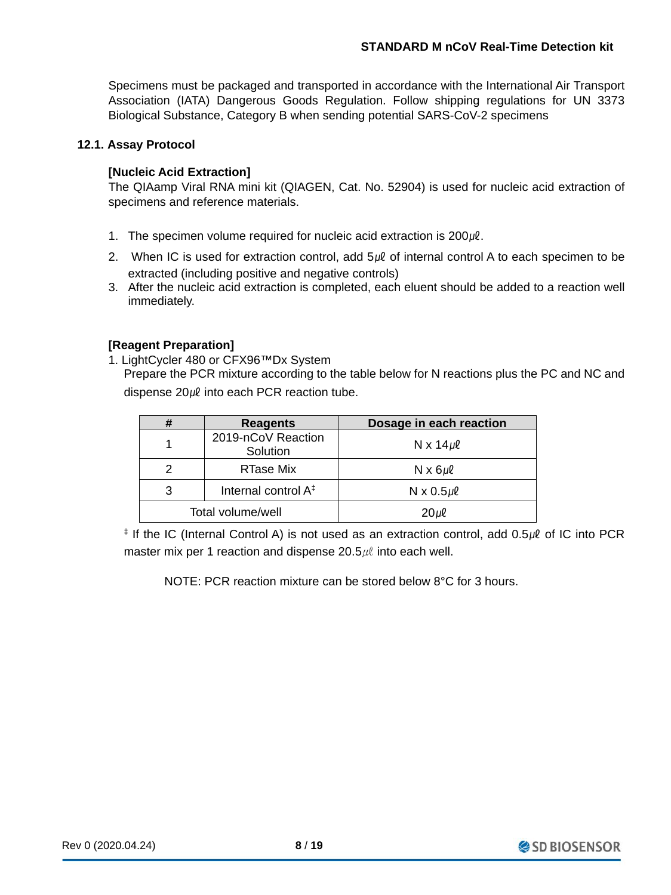Specimens must be packaged and transported in accordance with the International Air Transport Association (IATA) Dangerous Goods Regulation. Follow shipping regulations for UN 3373 Biological Substance, Category B when sending potential SARS-CoV-2 specimens

#### **12.1. Assay Protocol**

#### **[Nucleic Acid Extraction]**

The QIAamp Viral RNA mini kit (QIAGEN, Cat. No. 52904) is used for nucleic acid extraction of specimens and reference materials.

- 1. The specimen volume required for nucleic acid extraction is  $200 \mu$ .
- 2. When IC is used for extraction control, add  $5\nu\ell$  of internal control A to each specimen to be extracted (including positive and negative controls)
- 3. After the nucleic acid extraction is completed, each eluent should be added to a reaction well immediately.

#### **[Reagent Preparation]**

1. LightCycler 480 or CFX96™Dx System Prepare the PCR mixture according to the table below for N reactions plus the PC and NC and

dispense 20µl into each PCR reaction tube.

| #                                    | <b>Reagents</b>                | Dosage in each reaction |
|--------------------------------------|--------------------------------|-------------------------|
|                                      | 2019-nCoV Reaction<br>Solution | N x $14\mu$ l           |
| 2                                    | RTase Mix                      | $N \times 6 \mu \ell$   |
| Internal control A <sup>‡</sup><br>3 |                                | $N \times 0.5 \mu \ell$ |
| Total volume/well                    |                                | $20 \mu$ l              |

 $\pm$  If the IC (Internal Control A) is not used as an extraction control, add 0.5 $\mu$  of IC into PCR master mix per 1 reaction and dispense  $20.5 \mu\ell$  into each well.

NOTE: PCR reaction mixture can be stored below 8°C for 3 hours.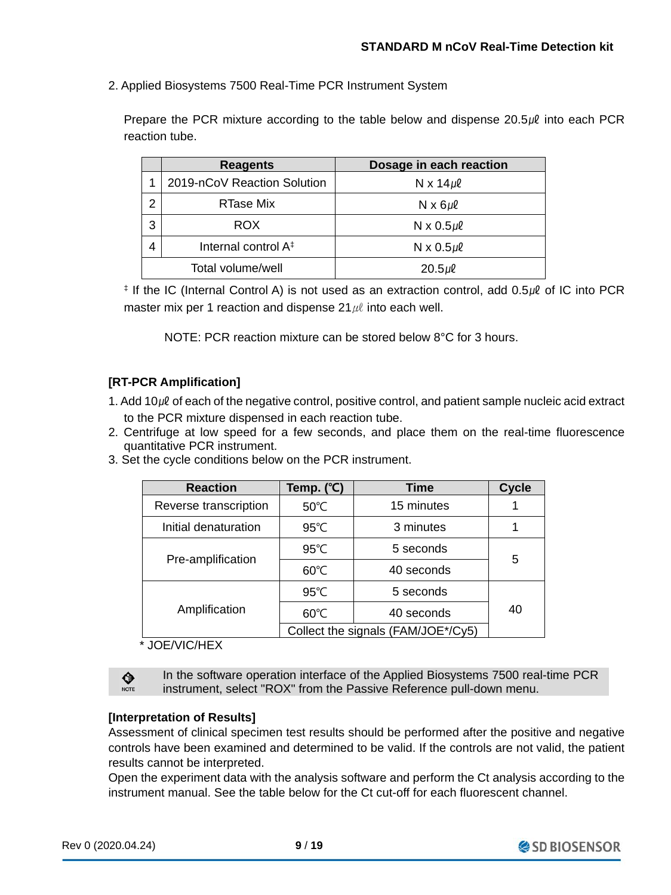2. Applied Biosystems 7500 Real-Time PCR Instrument System

Prepare the PCR mixture according to the table below and dispense  $20.5\mu\ell$  into each PCR reaction tube.

|   | Dosage in each reaction<br><b>Reagents</b> |                         |  |  |
|---|--------------------------------------------|-------------------------|--|--|
|   | 2019-nCoV Reaction Solution                | N x $14 \mu$ l          |  |  |
| 2 | RTase Mix                                  | $N \times 6 \mu \ell$   |  |  |
| 3 | <b>ROX</b>                                 | $N \times 0.5 \mu \ell$ |  |  |
| 4 | Internal control A <sup>‡</sup>            | $N \times 0.5 \mu \ell$ |  |  |
|   | Total volume/well                          | $20.5 \mu \ell$         |  |  |

‡ If the IC (Internal Control A) is not used as an extraction control, add 0.5㎕ of IC into PCR master mix per 1 reaction and dispense  $21 \mu l$  into each well.

NOTE: PCR reaction mixture can be stored below 8°C for 3 hours.

## **[RT-PCR Amplification]**

1. Add 10㎕ of each of the negative control, positive control, and patient sample nucleic acid extract to the PCR mixture dispensed in each reaction tube.

- 2. Centrifuge at low speed for a few seconds, and place them on the real-time fluorescence quantitative PCR instrument.
- 3. Set the cycle conditions below on the PCR instrument.

| <b>Reaction</b>       | Temp. (°C)     | <b>Time</b>                        | <b>Cycle</b> |
|-----------------------|----------------|------------------------------------|--------------|
| Reverse transcription | 50°C           | 15 minutes                         |              |
| Initial denaturation  | $95^{\circ}$ C | 3 minutes                          |              |
| Pre-amplification     | $95^{\circ}$ C | 5 seconds                          |              |
|                       | $60^{\circ}$ C | 40 seconds                         | 5            |
|                       | 95°C           | 5 seconds                          |              |
| Amplification         | 60°C           | 40 seconds                         | 40           |
|                       |                | Collect the signals (FAM/JOE*/Cy5) |              |

#### \* JOE/VIC/HEX

♦ NOTE In the software operation interface of the Applied Biosystems 7500 real-time PCR instrument, select "ROX" from the Passive Reference pull-down menu.

#### **[Interpretation of Results]**

Assessment of clinical specimen test results should be performed after the positive and negative controls have been examined and determined to be valid. If the controls are not valid, the patient results cannot be interpreted.

Open the experiment data with the analysis software and perform the Ct analysis according to the instrument manual. See the table below for the Ct cut-off for each fluorescent channel.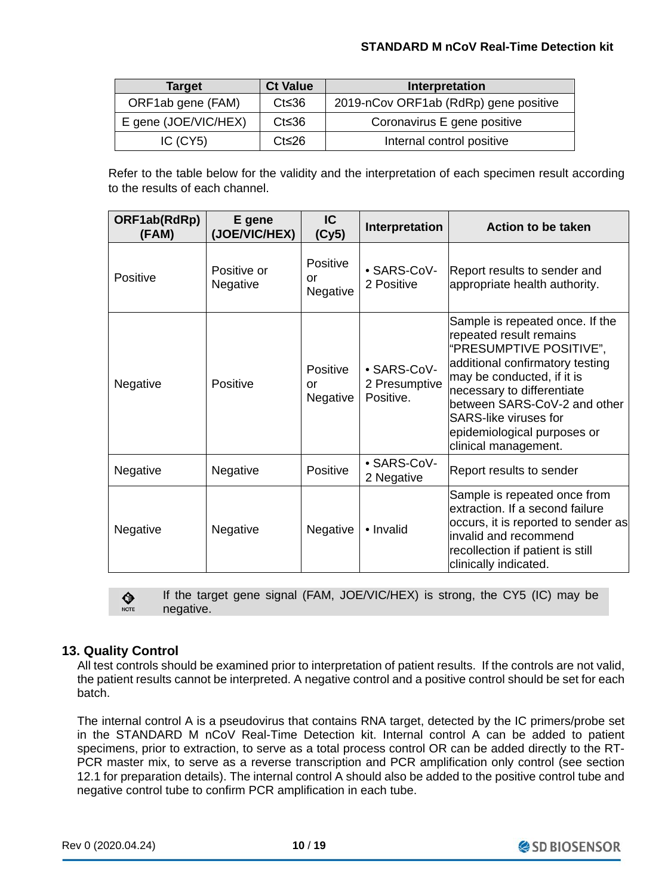#### **STANDARD M nCoV Real-Time Detection kit**

| <b>Target</b>                        | <b>Ct Value</b> | Interpretation                        |
|--------------------------------------|-----------------|---------------------------------------|
| ORF1ab gene (FAM)                    | $Ct \leq 36$    | 2019-nCov ORF1ab (RdRp) gene positive |
| E gene (JOE/VIC/HEX)<br>$Ct \leq 36$ |                 | Coronavirus E gene positive           |
| $IC$ $(CY5)$                         | $Ct \leq 26$    | Internal control positive             |

Refer to the table below for the validity and the interpretation of each specimen result according to the results of each channel.

| ORF1ab(RdRp)<br>(FAM) | E gene<br>(JOE/VIC/HEX) | IC<br>(Cy5)                       | Interpretation                            | Action to be taken                                                                                                                                                                                                                                                                                          |
|-----------------------|-------------------------|-----------------------------------|-------------------------------------------|-------------------------------------------------------------------------------------------------------------------------------------------------------------------------------------------------------------------------------------------------------------------------------------------------------------|
| Positive              | Positive or<br>Negative | Positive<br>or<br>Negative        | • SARS-CoV-<br>2 Positive                 | Report results to sender and<br>appropriate health authority.                                                                                                                                                                                                                                               |
| Negative              | Positive                | <b>Positive</b><br>or<br>Negative | • SARS-CoV-<br>2 Presumptive<br>Positive. | Sample is repeated once. If the<br>repeated result remains<br>"PRESUMPTIVE POSITIVE",<br>additional confirmatory testing<br>may be conducted, if it is<br>necessary to differentiate<br>between SARS-CoV-2 and other<br><b>SARS-like viruses for</b><br>epidemiological purposes or<br>clinical management. |
| Negative              | Negative                | <b>Positive</b>                   | • SARS-CoV-<br>2 Negative                 | Report results to sender                                                                                                                                                                                                                                                                                    |
| Negative              | Negative                | Negative                          | • Invalid                                 | Sample is repeated once from<br>extraction. If a second failure<br>occurs, it is reported to sender as<br>invalid and recommend<br>recollection if patient is still<br>clinically indicated.                                                                                                                |

If the target gene signal (FAM, JOE/VIC/HEX) is strong, the CY5 (IC) may be ♦ NOTE negative.

### **13. Quality Control**

All test controls should be examined prior to interpretation of patient results. If the controls are not valid, the patient results cannot be interpreted. A negative control and a positive control should be set for each batch.

The internal control A is a pseudovirus that contains RNA target, detected by the IC primers/probe set in the STANDARD M nCoV Real-Time Detection kit. Internal control A can be added to patient specimens, prior to extraction, to serve as a total process control OR can be added directly to the RT-PCR master mix, to serve as a reverse transcription and PCR amplification only control (see section 12.1 for preparation details). The internal control A should also be added to the positive control tube and negative control tube to confirm PCR amplification in each tube.

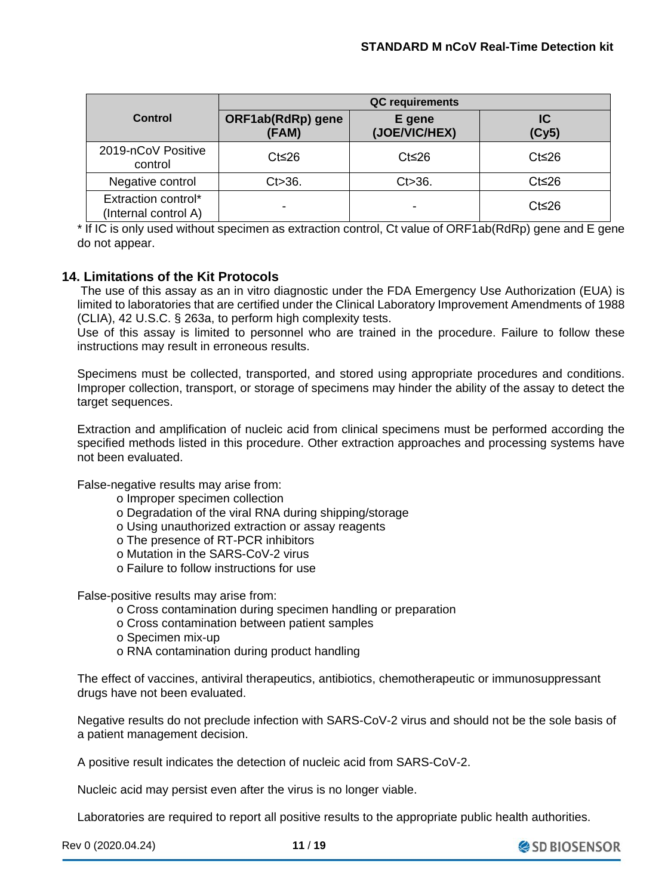|                                             | <b>QC</b> requirements            |                         |              |  |  |
|---------------------------------------------|-----------------------------------|-------------------------|--------------|--|--|
| Control                                     | <b>ORF1ab(RdRp)</b> gene<br>(FAM) | E gene<br>(JOE/VIC/HEX) | IC<br>(Cy5)  |  |  |
| 2019-nCoV Positive<br>control               | $Ct \leq 26$                      | $Ct \leq 26$            | $Ct \leq 26$ |  |  |
| Negative control                            | $Ct > 36$ .                       | $Ct > 36$ .             | $Ct \leq 26$ |  |  |
| Extraction control*<br>(Internal control A) |                                   | $\,$                    | $Ct \leq 26$ |  |  |

\* If IC is only used without specimen as extraction control, Ct value of ORF1ab(RdRp) gene and E gene do not appear.

## **14. Limitations of the Kit Protocols**

The use of this assay as an in vitro diagnostic under the FDA Emergency Use Authorization (EUA) is limited to laboratories that are certified under the Clinical Laboratory Improvement Amendments of 1988 (CLIA), 42 U.S.C. § 263a, to perform high complexity tests.

Use of this assay is limited to personnel who are trained in the procedure. Failure to follow these instructions may result in erroneous results.

Specimens must be collected, transported, and stored using appropriate procedures and conditions. Improper collection, transport, or storage of specimens may hinder the ability of the assay to detect the target sequences.

Extraction and amplification of nucleic acid from clinical specimens must be performed according the specified methods listed in this procedure. Other extraction approaches and processing systems have not been evaluated.

False-negative results may arise from:

- o Improper specimen collection
- o Degradation of the viral RNA during shipping/storage
- o Using unauthorized extraction or assay reagents
- o The presence of RT-PCR inhibitors
- o Mutation in the SARS-CoV-2 virus
- o Failure to follow instructions for use

False-positive results may arise from:

- o Cross contamination during specimen handling or preparation
- o Cross contamination between patient samples
- o Specimen mix-up
- o RNA contamination during product handling

The effect of vaccines, antiviral therapeutics, antibiotics, chemotherapeutic or immunosuppressant drugs have not been evaluated.

Negative results do not preclude infection with SARS-CoV-2 virus and should not be the sole basis of a patient management decision.

A positive result indicates the detection of nucleic acid from SARS-CoV-2.

Nucleic acid may persist even after the virus is no longer viable.

Laboratories are required to report all positive results to the appropriate public health authorities.

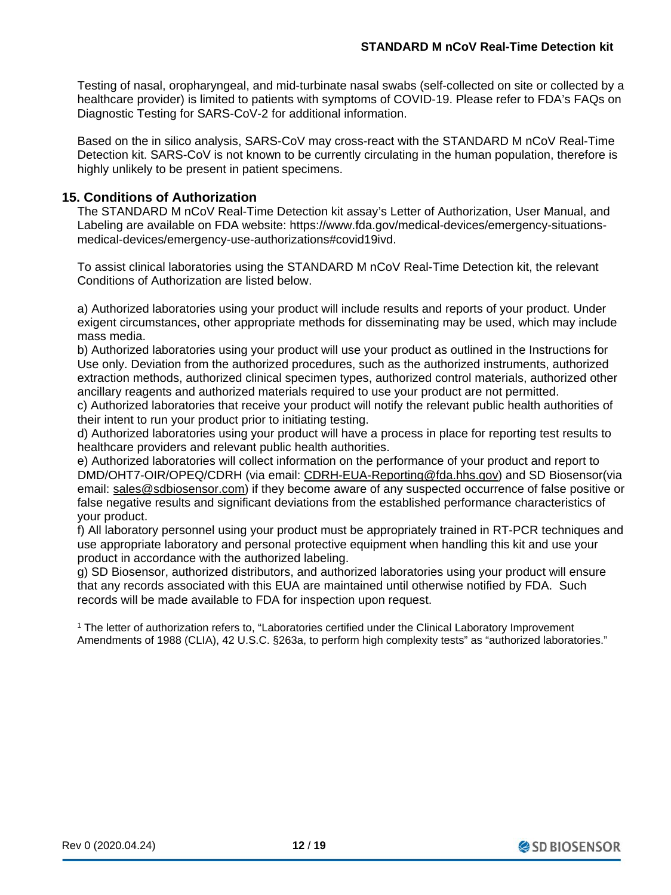Testing of nasal, oropharyngeal, and mid-turbinate nasal swabs (self-collected on site or collected by a healthcare provider) is limited to patients with symptoms of COVID-19. Please refer to FDA's FAQs on Diagnostic Testing for SARS-CoV-2 for additional information.

Based on the in silico analysis, SARS-CoV may cross-react with the STANDARD M nCoV Real-Time Detection kit. SARS-CoV is not known to be currently circulating in the human population, therefore is highly unlikely to be present in patient specimens.

## **15. Conditions of Authorization**

The STANDARD M nCoV Real-Time Detection kit assay's Letter of Authorization, User Manual, and Labeling are available on FDA website: https://www.fda.gov/medical-devices/emergency-situationsmedical-devices/emergency-use-authorizations#covid19ivd.

To assist clinical laboratories using the STANDARD M nCoV Real-Time Detection kit, the relevant Conditions of Authorization are listed below.

a) Authorized laboratories using your product will include results and reports of your product. Under exigent circumstances, other appropriate methods for disseminating may be used, which may include mass media.

b) Authorized laboratories using your product will use your product as outlined in the Instructions for Use only. Deviation from the authorized procedures, such as the authorized instruments, authorized extraction methods, authorized clinical specimen types, authorized control materials, authorized other ancillary reagents and authorized materials required to use your product are not permitted.

c) Authorized laboratories that receive your product will notify the relevant public health authorities of their intent to run your product prior to initiating testing.

d) Authorized laboratories using your product will have a process in place for reporting test results to healthcare providers and relevant public health authorities.

e) Authorized laboratories will collect information on the performance of your product and report to DMD/OHT7-OIR/OPEQ/CDRH (via email: [CDRH-EUA-Reporting@fda.hhs.gov\)](mailto:CDRH-EUA-Reporting@fda.hhs.gov) and SD Biosensor(via email: [sales@sdbiosensor.com\)](mailto:sales@sdbiosensor.com) if they become aware of any suspected occurrence of false positive or false negative results and significant deviations from the established performance characteristics of your product.

f) All laboratory personnel using your product must be appropriately trained in RT-PCR techniques and use appropriate laboratory and personal protective equipment when handling this kit and use your product in accordance with the authorized labeling.

g) SD Biosensor, authorized distributors, and authorized laboratories using your product will ensure that any records associated with this EUA are maintained until otherwise notified by FDA. Such records will be made available to FDA for inspection upon request.

<sup>1</sup> The letter of authorization refers to, "Laboratories certified under the Clinical Laboratory Improvement Amendments of 1988 (CLIA), 42 U.S.C. §263a, to perform high complexity tests" as "authorized laboratories."

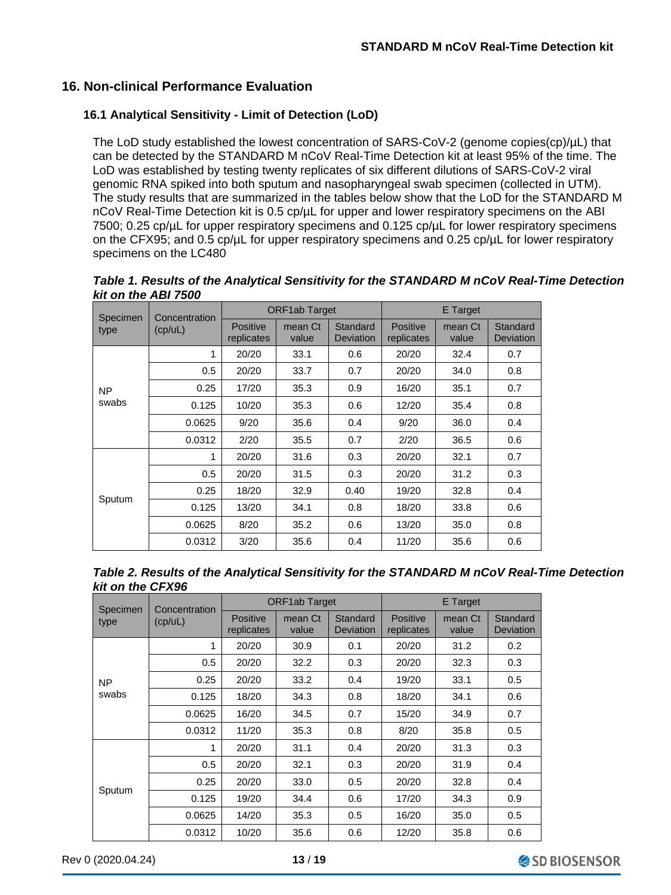## **16. Non-clinical Performance Evaluation**

#### **16.1 Analytical Sensitivity - Limit of Detection (LoD)**

The LoD study established the lowest concentration of SARS-CoV-2 (genome copies(cp)/µL) that can be detected by the STANDARD M nCoV Real-Time Detection kit at least 95% of the time. The LoD was established by testing twenty replicates of six different dilutions of SARS-CoV-2 viral genomic RNA spiked into both sputum and nasopharyngeal swab specimen (collected in UTM). The study results that are summarized in the tables below show that the LoD for the STANDARD M nCoV Real-Time Detection kit is 0.5 cp/µL for upper and lower respiratory specimens on the ABI 7500; 0.25 cp/µL for upper respiratory specimens and 0.125 cp/µL for lower respiratory specimens on the CFX95; and 0.5 cp/µL for upper respiratory specimens and 0.25 cp/µL for lower respiratory specimens on the LC480

*Table 1. Results of the Analytical Sensitivity for the STANDARD M nCoV Real-Time Detection kit on the ABI 7500*

| Specimen  | Concentration | <b>ORF1ab Target</b>   |                  |                       | E Target                      |                  |                       |
|-----------|---------------|------------------------|------------------|-----------------------|-------------------------------|------------------|-----------------------|
| type      | (cp/uL)       | Positive<br>replicates | mean Ct<br>value | Standard<br>Deviation | <b>Positive</b><br>replicates | mean Ct<br>value | Standard<br>Deviation |
|           | 1             | 20/20                  | 33.1             | 0.6                   | 20/20                         | 32.4             | 0.7                   |
|           | 0.5           | 20/20                  | 33.7             | 0.7                   | 20/20                         | 34.0             | 0.8                   |
| <b>NP</b> | 0.25          | 17/20                  | 35.3             | 0.9                   | 16/20                         | 35.1             | 0.7                   |
| swabs     | 0.125         | 10/20                  | 35.3             | 0.6                   | 12/20                         | 35.4             | 0.8                   |
|           | 0.0625        | 9/20                   | 35.6             | 0.4                   | 9/20                          | 36.0             | 0.4                   |
|           | 0.0312        | 2/20                   | 35.5             | 0.7                   | 2/20                          | 36.5             | 0.6                   |
|           | 1             | 20/20                  | 31.6             | 0.3                   | 20/20                         | 32.1             | 0.7                   |
|           | 0.5           | 20/20                  | 31.5             | 0.3                   | 20/20                         | 31.2             | 0.3                   |
| Sputum    | 0.25          | 18/20                  | 32.9             | 0.40                  | 19/20                         | 32.8             | 0.4                   |
|           | 0.125         | 13/20                  | 34.1             | 0.8                   | 18/20                         | 33.8             | 0.6                   |
|           | 0.0625        | 8/20                   | 35.2             | 0.6                   | 13/20                         | 35.0             | 0.8                   |
|           | 0.0312        | 3/20                   | 35.6             | 0.4                   | 11/20                         | 35.6             | 0.6                   |

*Table 2. Results of the Analytical Sensitivity for the STANDARD M nCoV Real-Time Detection kit on the CFX96*

| Specimen  | Concentration | <b>ORF1ab Target</b>          |                  |                       | <b>E</b> Target               |                  |                       |
|-----------|---------------|-------------------------------|------------------|-----------------------|-------------------------------|------------------|-----------------------|
| type      | (cp/uL)       | <b>Positive</b><br>replicates | mean Ct<br>value | Standard<br>Deviation | <b>Positive</b><br>replicates | mean Ct<br>value | Standard<br>Deviation |
|           | 1             | 20/20                         | 30.9             | 0.1                   | 20/20                         | 31.2             | 0.2                   |
|           | 0.5           | 20/20                         | 32.2             | 0.3                   | 20/20                         | 32.3             | 0.3                   |
| <b>NP</b> | 0.25          | 20/20                         | 33.2             | 0.4                   | 19/20                         | 33.1             | 0.5                   |
| swabs     | 0.125         | 18/20                         | 34.3             | 0.8                   | 18/20                         | 34.1             | 0.6                   |
|           | 0.0625        | 16/20                         | 34.5             | 0.7                   | 15/20                         | 34.9             | 0.7                   |
|           | 0.0312        | 11/20                         | 35.3             | 0.8                   | 8/20                          | 35.8             | 0.5                   |
|           | 1             | 20/20                         | 31.1             | 0.4                   | 20/20                         | 31.3             | 0.3                   |
|           | 0.5           | 20/20                         | 32.1             | 0.3                   | 20/20                         | 31.9             | 0.4                   |
|           | 0.25          | 20/20                         | 33.0             | 0.5                   | 20/20                         | 32.8             | 0.4                   |
| Sputum    | 0.125         | 19/20                         | 34.4             | 0.6                   | 17/20                         | 34.3             | 0.9                   |
|           | 0.0625        | 14/20                         | 35.3             | 0.5                   | 16/20                         | 35.0             | 0.5                   |
|           | 0.0312        | 10/20                         | 35.6             | 0.6                   | 12/20                         | 35.8             | 0.6                   |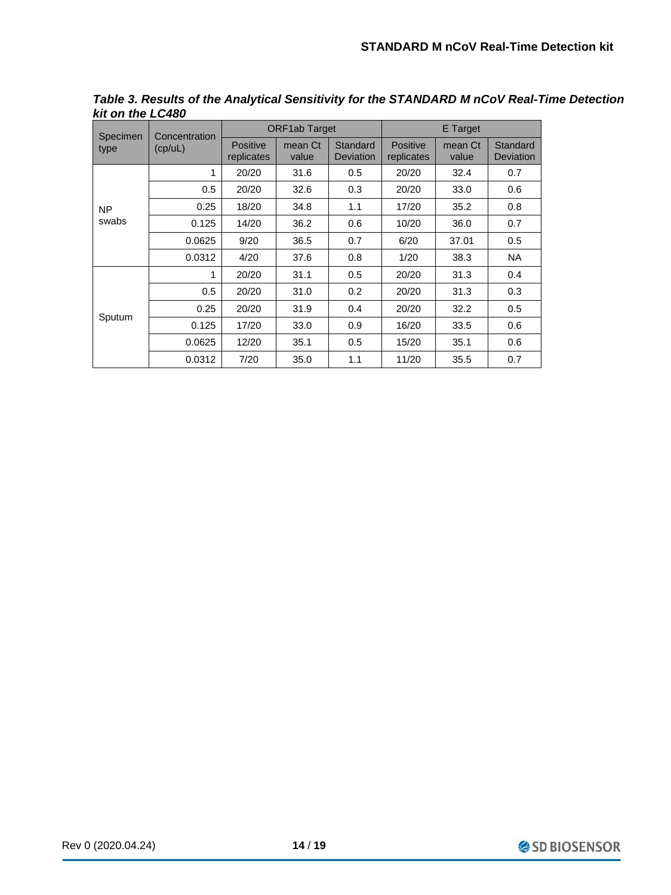| Specimen  | Concentration | <b>ORF1ab Target</b>          |                  |                              | E Target                      |                  |                       |
|-----------|---------------|-------------------------------|------------------|------------------------------|-------------------------------|------------------|-----------------------|
| type      | (cp/uL)       | <b>Positive</b><br>replicates | mean Ct<br>value | Standard<br><b>Deviation</b> | <b>Positive</b><br>replicates | mean Ct<br>value | Standard<br>Deviation |
|           | 1             | 20/20                         | 31.6             | 0.5                          | 20/20                         | 32.4             | 0.7                   |
|           | 0.5           | 20/20                         | 32.6             | 0.3                          | 20/20                         | 33.0             | 0.6                   |
| <b>NP</b> | 0.25          | 18/20                         | 34.8             | 1.1                          | 17/20                         | 35.2             | 0.8                   |
| swabs     | 0.125         | 14/20                         | 36.2             | 0.6                          | 10/20                         | 36.0             | 0.7                   |
|           | 0.0625        | 9/20                          | 36.5             | 0.7                          | 6/20                          | 37.01            | 0.5                   |
|           | 0.0312        | 4/20                          | 37.6             | 0.8                          | 1/20                          | 38.3             | <b>NA</b>             |
|           | 1             | 20/20                         | 31.1             | 0.5                          | 20/20                         | 31.3             | 0.4                   |
| Sputum    | 0.5           | 20/20                         | 31.0             | 0.2                          | 20/20                         | 31.3             | 0.3                   |
|           | 0.25          | 20/20                         | 31.9             | 0.4                          | 20/20                         | 32.2             | 0.5                   |
|           | 0.125         | 17/20                         | 33.0             | 0.9                          | 16/20                         | 33.5             | 0.6                   |
|           | 0.0625        | 12/20                         | 35.1             | 0.5                          | 15/20                         | 35.1             | 0.6                   |
|           | 0.0312        | 7/20                          | 35.0             | 1.1                          | 11/20                         | 35.5             | 0.7                   |

*Table 3. Results of the Analytical Sensitivity for the STANDARD M nCoV Real-Time Detection kit on the LC480*

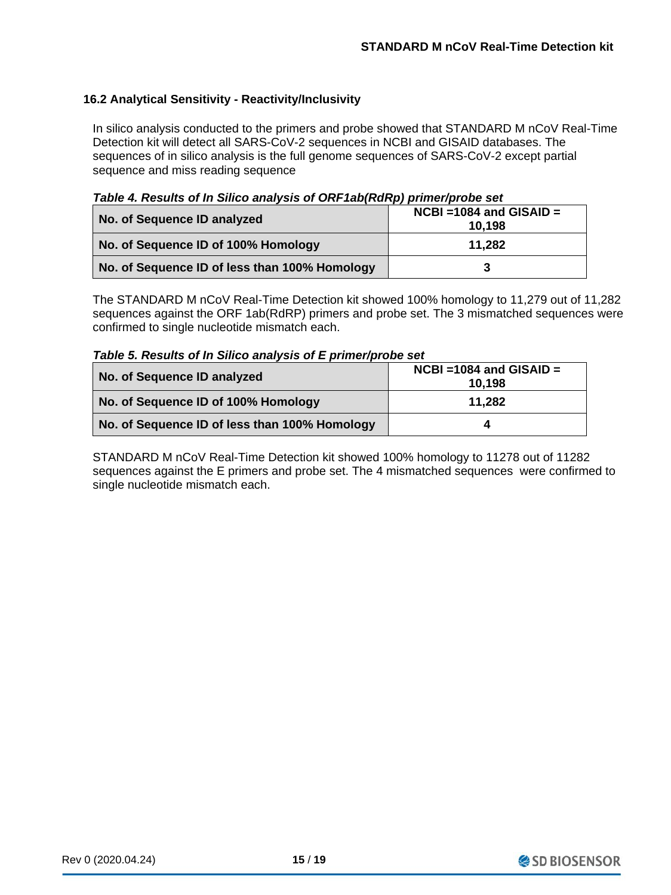## **16.2 Analytical Sensitivity - Reactivity/Inclusivity**

In silico analysis conducted to the primers and probe showed that STANDARD M nCoV Real-Time Detection kit will detect all SARS-CoV-2 sequences in NCBI and GISAID databases. The sequences of in silico analysis is the full genome sequences of SARS-CoV-2 except partial sequence and miss reading sequence

*Table 4. Results of In Silico analysis of ORF1ab(RdRp) primer/probe set*

| No. of Sequence ID analyzed                   | $NCBI = 1084$ and $GISAID =$<br>10.198 |
|-----------------------------------------------|----------------------------------------|
| No. of Sequence ID of 100% Homology           | 11,282                                 |
| No. of Sequence ID of less than 100% Homology | 3                                      |

The STANDARD M nCoV Real-Time Detection kit showed 100% homology to 11,279 out of 11,282 sequences against the ORF 1ab(RdRP) primers and probe set. The 3 mismatched sequences were confirmed to single nucleotide mismatch each.

*Table 5. Results of In Silico analysis of E primer/probe set*

| No. of Sequence ID analyzed                   | $NCBI = 1084$ and $GISAID =$<br>10,198 |
|-----------------------------------------------|----------------------------------------|
| No. of Sequence ID of 100% Homology           | 11,282                                 |
| No. of Sequence ID of less than 100% Homology | 4                                      |

STANDARD M nCoV Real-Time Detection kit showed 100% homology to 11278 out of 11282 sequences against the E primers and probe set. The 4 mismatched sequences were confirmed to single nucleotide mismatch each.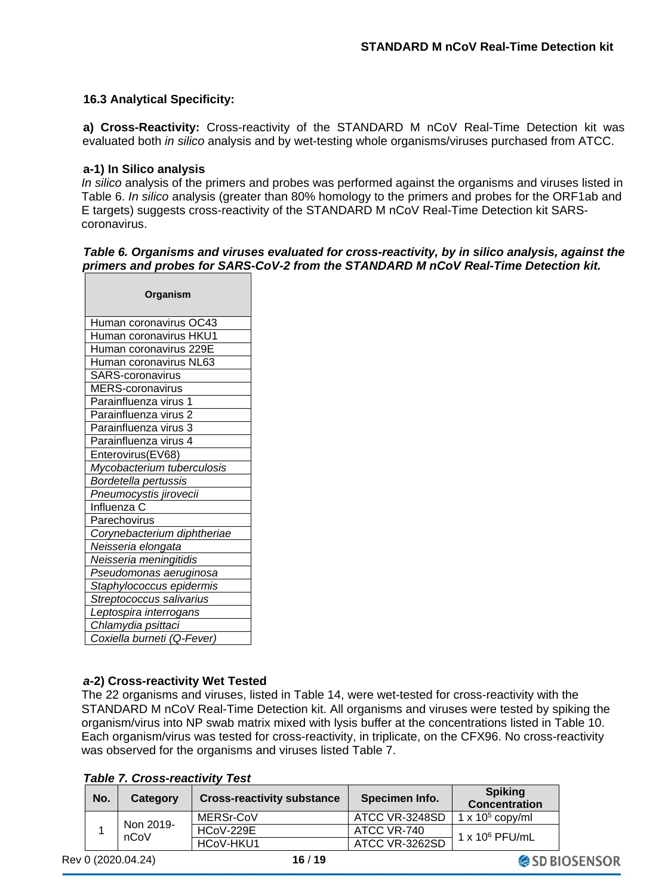SD BIOSENSOR

#### **16.3 Analytical Specificity:**

**a) Cross-Reactivity:** Cross-reactivity of the STANDARD M nCoV Real-Time Detection kit was evaluated both *in silico* analysis and by wet-testing whole organisms/viruses purchased from ATCC.

#### **a-1) In Silico analysis**

*In silico* analysis of the primers and probes was performed against the organisms and viruses listed in Table 6. *In silico* analysis (greater than 80% homology to the primers and probes for the ORF1ab and E targets) suggests cross-reactivity of the STANDARD M nCoV Real-Time Detection kit SARScoronavirus.

#### *Table 6. Organisms and viruses evaluated for cross-reactivity, by in silico analysis, against the primers and probes for SARS-CoV-2 from the STANDARD M nCoV Real-Time Detection kit.*

| Organism                    |  |  |  |  |
|-----------------------------|--|--|--|--|
| Human coronavirus OC43      |  |  |  |  |
| Human coronavirus HKU1      |  |  |  |  |
| Human coronavirus 229E      |  |  |  |  |
| Human coronavirus NL63      |  |  |  |  |
| <b>SARS-coronavirus</b>     |  |  |  |  |
| <b>MERS-coronavirus</b>     |  |  |  |  |
| Parainfluenza virus 1       |  |  |  |  |
| Parainfluenza virus 2       |  |  |  |  |
| Parainfluenza virus 3       |  |  |  |  |
| Parainfluenza virus 4       |  |  |  |  |
| Enterovirus(EV68)           |  |  |  |  |
| Mycobacterium tuberculosis  |  |  |  |  |
| Bordetella pertussis        |  |  |  |  |
| Pneumocystis jirovecii      |  |  |  |  |
| Influenza C                 |  |  |  |  |
| Parechovirus                |  |  |  |  |
| Corynebacterium diphtheriae |  |  |  |  |
| Neisseria elongata          |  |  |  |  |
| Neisseria meningitidis      |  |  |  |  |
| Pseudomonas aeruginosa      |  |  |  |  |
| Staphylococcus epidermis    |  |  |  |  |
| Streptococcus salivarius    |  |  |  |  |
| Leptospira interrogans      |  |  |  |  |
| Chlamydia psittaci          |  |  |  |  |
| Coxiella burneti (Q-Fever)  |  |  |  |  |

#### *a***-2) Cross-reactivity Wet Tested**

The 22 organisms and viruses, listed in Table 14, were wet-tested for cross-reactivity with the STANDARD M nCoV Real-Time Detection kit. All organisms and viruses were tested by spiking the organism/virus into NP swab matrix mixed with lysis buffer at the concentrations listed in Table 10. Each organism/virus was tested for cross-reactivity, in triplicate, on the CFX96. No cross-reactivity was observed for the organisms and viruses listed Table 7.

*Table 7. Cross-reactivity Test*

| No.               | Category  | <b>Cross-reactivity substance</b> | Specimen Info.         | <b>Spiking</b><br><b>Concentration</b> |
|-------------------|-----------|-----------------------------------|------------------------|----------------------------------------|
|                   |           | MERSr-CoV                         | ATCC VR-3248SD         | 1 x $105$ copy/ml                      |
| Non 2019-<br>nCoV | HCoV-229E | ATCC VR-740                       | $1 \times 10^6$ PFU/mL |                                        |
|                   |           | HCoV-HKU1                         | ATCC VR-3262SD         |                                        |

Rev 0 (2020.04.24) **16** / **19**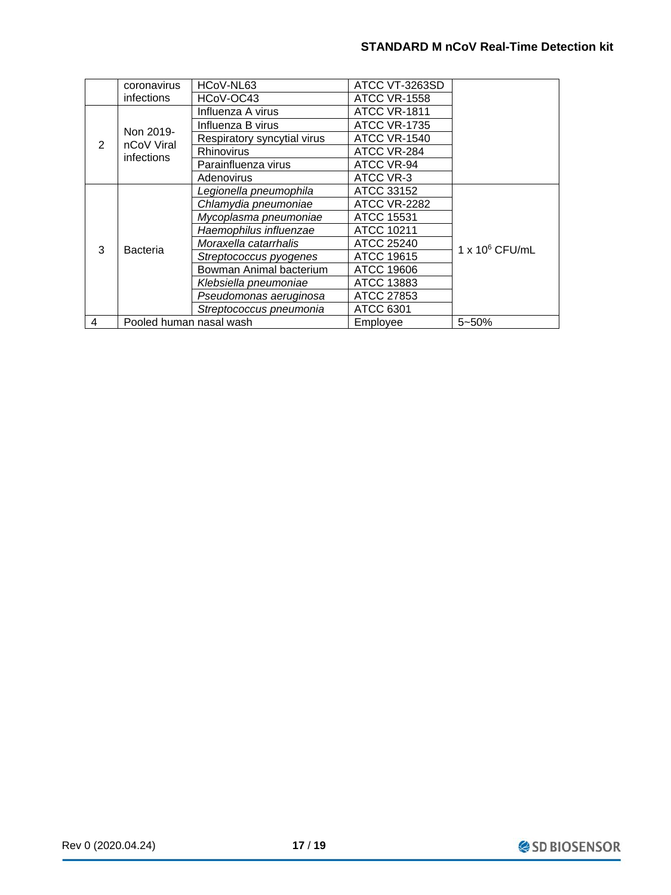|   | coronavirus                                              | HCoV-NL63                   | ATCC VT-3263SD      |                        |  |
|---|----------------------------------------------------------|-----------------------------|---------------------|------------------------|--|
|   | <i>infections</i>                                        | HCoV-OC43                   | <b>ATCC VR-1558</b> |                        |  |
|   |                                                          | Influenza A virus           | <b>ATCC VR-1811</b> |                        |  |
|   | Non 2019-<br>nCoV Viral<br>infections<br><b>Bacteria</b> | Influenza B virus           | <b>ATCC VR-1735</b> |                        |  |
| 2 |                                                          | Respiratory syncytial virus | <b>ATCC VR-1540</b> |                        |  |
|   |                                                          | <b>Rhinovirus</b>           | ATCC VR-284         |                        |  |
|   |                                                          | Parainfluenza virus         | ATCC VR-94          |                        |  |
|   |                                                          | Adenovirus                  | ATCC VR-3           |                        |  |
|   |                                                          | Legionella pneumophila      | ATCC 33152          |                        |  |
|   |                                                          | Chlamydia pneumoniae        | <b>ATCC VR-2282</b> |                        |  |
|   |                                                          | Mycoplasma pneumoniae       | <b>ATCC 15531</b>   |                        |  |
|   |                                                          | Haemophilus influenzae      | <b>ATCC 10211</b>   |                        |  |
| 3 |                                                          | Moraxella catarrhalis       | ATCC 25240          | $1 \times 10^6$ CFU/mL |  |
|   |                                                          | Streptococcus pyogenes      | <b>ATCC 19615</b>   |                        |  |
|   |                                                          | Bowman Animal bacterium     | ATCC 19606          |                        |  |
|   |                                                          | Klebsiella pneumoniae       | ATCC 13883          |                        |  |
|   |                                                          | Pseudomonas aeruginosa      | ATCC 27853          |                        |  |
|   |                                                          | Streptococcus pneumonia     | ATCC 6301           |                        |  |
| 4 | Pooled human nasal wash                                  |                             | Employee            | 5~50%                  |  |

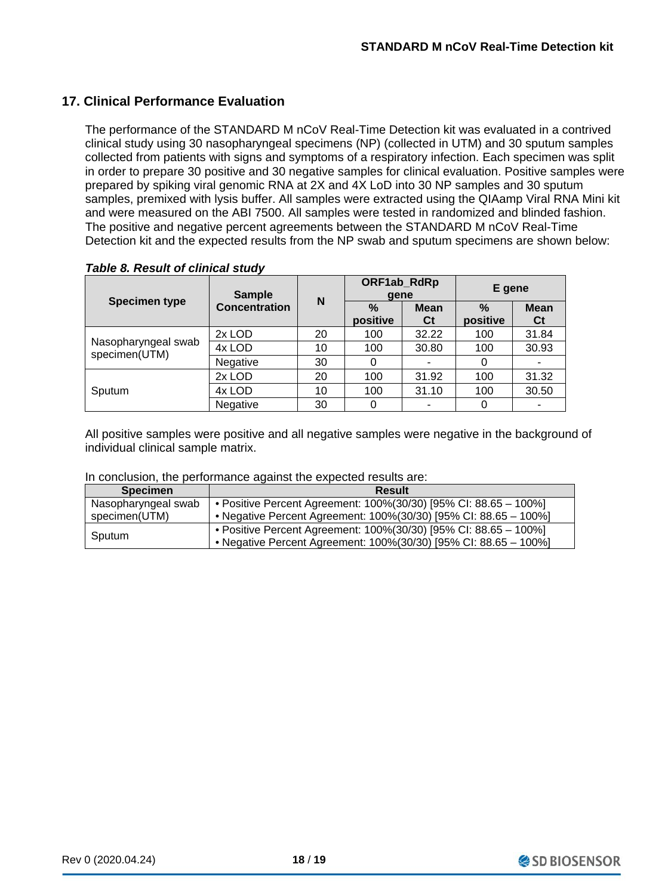## **17. Clinical Performance Evaluation**

The performance of the STANDARD M nCoV Real-Time Detection kit was evaluated in a contrived clinical study using 30 nasopharyngeal specimens (NP) (collected in UTM) and 30 sputum samples collected from patients with signs and symptoms of a respiratory infection. Each specimen was split in order to prepare 30 positive and 30 negative samples for clinical evaluation. Positive samples were prepared by spiking viral genomic RNA at 2X and 4X LoD into 30 NP samples and 30 sputum samples, premixed with lysis buffer. All samples were extracted using the QIAamp Viral RNA Mini kit and were measured on the ABI 7500. All samples were tested in randomized and blinded fashion. The positive and negative percent agreements between the STANDARD M nCoV Real-Time Detection kit and the expected results from the NP swab and sputum specimens are shown below:

|                                      | <b>Sample</b>        | N  | ORF1ab_RdRp<br>qene |                   | E gene           |                   |
|--------------------------------------|----------------------|----|---------------------|-------------------|------------------|-------------------|
| <b>Specimen type</b>                 | <b>Concentration</b> |    | $\%$<br>positive    | <b>Mean</b><br>Ct | $\%$<br>positive | <b>Mean</b><br>Ct |
|                                      | 2x LOD               | 20 | 100                 | 32.22             | 100              | 31.84             |
| Nasopharyngeal swab<br>specimen(UTM) | 4x LOD               | 10 | 100                 | 30.80             | 100              | 30.93             |
|                                      | Negative             | 30 | 0                   |                   | 0                |                   |
|                                      | 2x LOD               | 20 | 100                 | 31.92             | 100              | 31.32             |
| Sputum                               | 4x LOD               | 10 | 100                 | 31.10             | 100              | 30.50             |
|                                      | Negative             | 30 | 0                   |                   | 0                |                   |

*Table 8. Result of clinical study*

All positive samples were positive and all negative samples were negative in the background of individual clinical sample matrix.

#### In conclusion, the performance against the expected results are:

| <b>Specimen</b>     | <b>Result</b>                                                    |
|---------------------|------------------------------------------------------------------|
| Nasopharyngeal swab | • Positive Percent Agreement: 100%(30/30) [95% CI: 88.65 - 100%] |
| specimen(UTM)       | • Negative Percent Agreement: 100%(30/30) [95% CI: 88.65 - 100%] |
| Sputum              | • Positive Percent Agreement: 100%(30/30) [95% CI: 88.65 - 100%] |
|                     | • Negative Percent Agreement: 100%(30/30) [95% CI: 88.65 - 100%] |